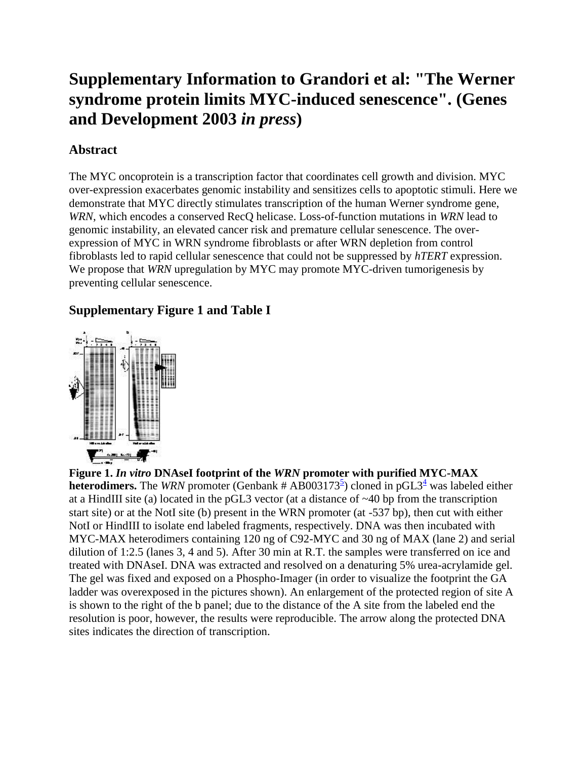# **Supplementary Information to Grandori et al: "The Werner syndrome protein limits MYC-induced senescence". (Genes and Development 2003** *in press***)**

## **Abstract**

The MYC oncoprotein is a transcription factor that coordinates cell growth and division. MYC over-expression exacerbates genomic instability and sensitizes cells to apoptotic stimuli. Here we demonstrate that MYC directly stimulates transcription of the human Werner syndrome gene, *WRN*, which encodes a conserved RecQ helicase. Loss-of-function mutations in *WRN* lead to genomic instability, an elevated cancer risk and premature cellular senescence. The overexpression of MYC in WRN syndrome fibroblasts or after WRN depletion from control fibroblasts led to rapid cellular senescence that could not be suppressed by *hTERT* expression. We propose that *WRN* upregulation by MYC may promote MYC-driven tumorigenesis by preventing cellular senescence.

### **Supplementary Figure 1 and Table I**



**Figure 1.** *In vitro* **DNAseI footprint of the** *WRN* **promoter with purified MYC-MAX heterodimers.** The *WRN* promoter (Genbank # AB003173<sup>[5](http://parma.fhcrc.org/cgrandori/#yamabe)</sup>) cloned in pGL3<sup>[4](http://parma.fhcrc.org/cgrandori/#wang)</sup> was labeled either at a HindIII site (a) located in the pGL3 vector (at a distance of ~40 bp from the transcription start site) or at the NotI site (b) present in the WRN promoter (at -537 bp), then cut with either NotI or HindIII to isolate end labeled fragments, respectively. DNA was then incubated with MYC-MAX heterodimers containing 120 ng of C92-MYC and 30 ng of MAX (lane 2) and serial dilution of 1:2.5 (lanes 3, 4 and 5). After 30 min at R.T. the samples were transferred on ice and treated with DNAseI. DNA was extracted and resolved on a denaturing 5% urea-acrylamide gel. The gel was fixed and exposed on a Phospho-Imager (in order to visualize the footprint the GA ladder was overexposed in the pictures shown). An enlargement of the protected region of site A is shown to the right of the b panel; due to the distance of the A site from the labeled end the resolution is poor, however, the results were reproducible. The arrow along the protected DNA sites indicates the direction of transcription.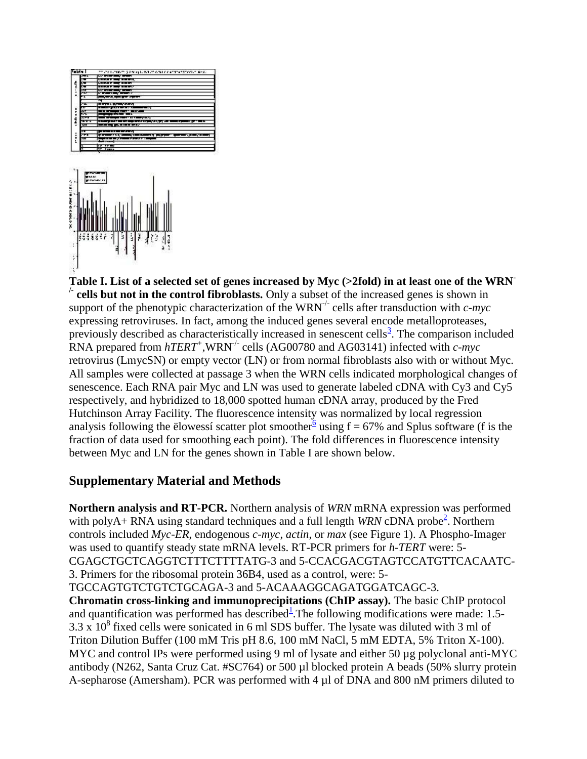

**Table I. List of a selected set of genes increased by Myc (>2fold) in at least one of the WRN- /- cells but not in the control fibroblasts.** Only a subset of the increased genes is shown in support of the phenotypic characterization of the WRN-/- cells after transduction with *c-myc* expressing retroviruses. In fact, among the induced genes several encode metalloproteases, previously described as characteristically increased in senescent cells<sup>[3](http://parma.fhcrc.org/cgrandori/#shelton)</sup>. The comparison included RNA prepared from *hTERT<sup>+</sup>* ,WRN-/- cells (AG00780 and AG03141) infected with *c-myc* retrovirus (LmycSN) or empty vector (LN) or from normal fibroblasts also with or without Myc. All samples were collected at passage 3 when the WRN cells indicated morphological changes of senescence. Each RNA pair Myc and LN was used to generate labeled cDNA with Cy3 and Cy5 respectively, and hybridized to 18,000 spotted human cDNA array, produced by the Fred Hutchinson Array Facility. The fluorescence intensity was normalized by local regression analysis following the elowessi scatter plot smoother using  $f = 67\%$  $f = 67\%$  $f = 67\%$  and Splus software (f is the fraction of data used for smoothing each point). The fold differences in fluorescence intensity between Myc and LN for the genes shown in Table I are shown below.

#### **Supplementary Material and Methods**

**Northern analysis and RT-PCR.** Northern analysis of *WRN* mRNA expression was performed with polyA+ RNA using standard t[e](http://parma.fhcrc.org/cgrandori/#gray)chniques and a full length *WRN* cDNA probe<sup>2</sup>. Northern controls included *Myc-ER*, endogenous *c-myc*, *actin*, or *max* (see Figure 1). A Phospho-Imager was used to quantify steady state mRNA levels. RT-PCR primers for *h-TERT* were: 5- CGAGCTGCTCAGGTCTTTCTTTTATG-3 and 5-CCACGACGTAGTCCATGTTCACAATC-3. Primers for the ribosomal protein 36B4, used as a control, were: 5- TGCCAGTGTCTGTCTGCAGA-3 and 5-ACAAAGGCAGATGGATCAGC-3.

**Chromatin cross-linking and immunoprecipitations (ChIP assay).** The basic ChIP protocol and quantification was performed has described<sup>1</sup>[.](http://parma.fhcrc.org/cgrandori/#frank) The following modifications were made: 1.5- $3.3 \times 10^8$  fixed cells were sonicated in 6 ml SDS buffer. The lysate was diluted with 3 ml of Triton Dilution Buffer (100 mM Tris pH 8.6, 100 mM NaCl, 5 mM EDTA, 5% Triton X-100). MYC and control IPs were performed using 9 ml of lysate and either 50 µg polyclonal anti-MYC antibody (N262, Santa Cruz Cat. #SC764) or 500 µl blocked protein A beads (50% slurry protein A-sepharose (Amersham). PCR was performed with 4 µl of DNA and 800 nM primers diluted to